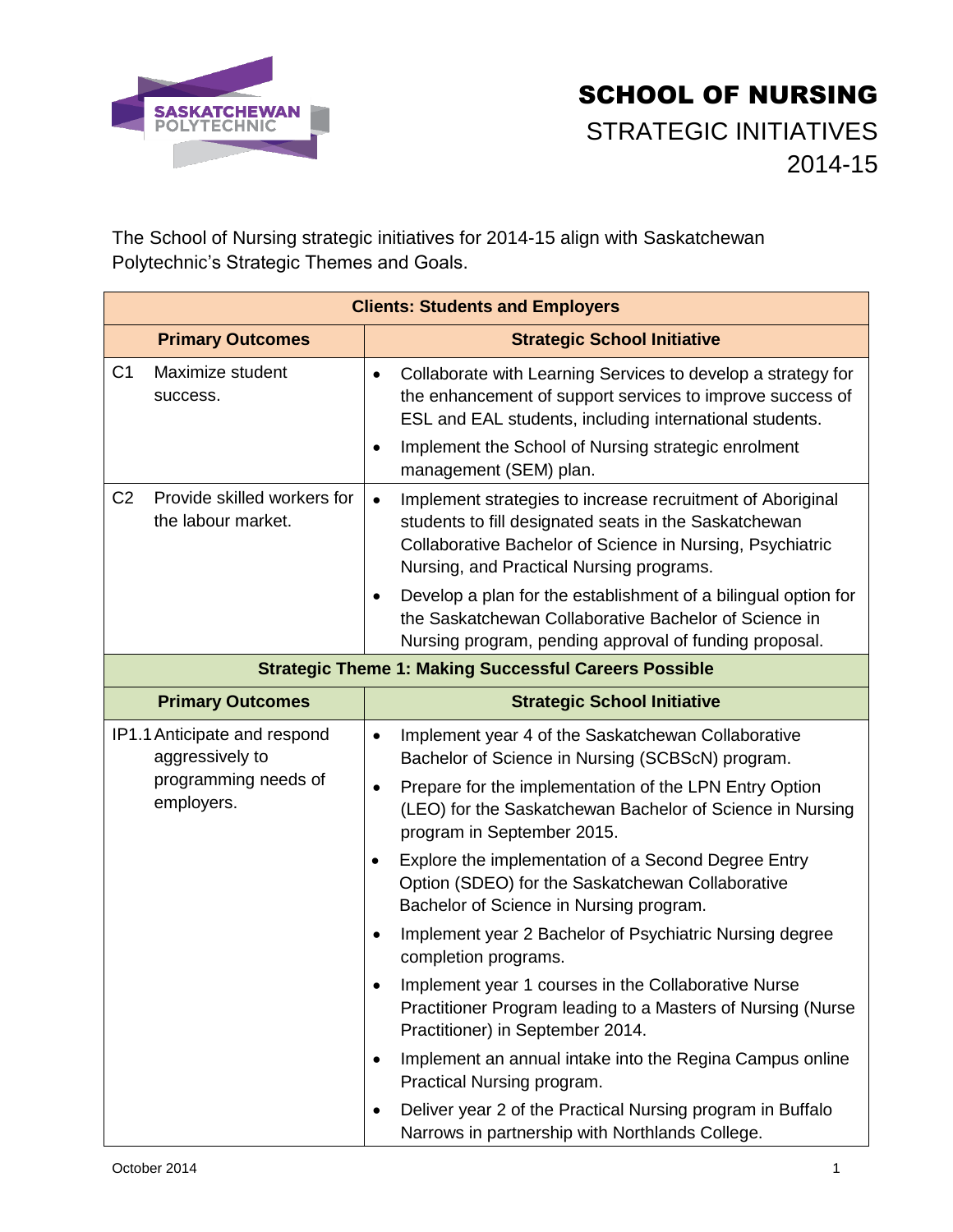

The School of Nursing strategic initiatives for 2014-15 align with Saskatchewan Polytechnic's Strategic Themes and Goals.

| <b>Clients: Students and Employers</b>                                                |                                                                                                                                                                                                                                                          |  |
|---------------------------------------------------------------------------------------|----------------------------------------------------------------------------------------------------------------------------------------------------------------------------------------------------------------------------------------------------------|--|
| <b>Primary Outcomes</b>                                                               | <b>Strategic School Initiative</b>                                                                                                                                                                                                                       |  |
| C <sub>1</sub><br>Maximize student<br>success.                                        | Collaborate with Learning Services to develop a strategy for<br>$\bullet$<br>the enhancement of support services to improve success of<br>ESL and EAL students, including international students.<br>Implement the School of Nursing strategic enrolment |  |
|                                                                                       | management (SEM) plan.                                                                                                                                                                                                                                   |  |
| C <sub>2</sub><br>Provide skilled workers for<br>the labour market.                   | Implement strategies to increase recruitment of Aboriginal<br>$\bullet$<br>students to fill designated seats in the Saskatchewan<br>Collaborative Bachelor of Science in Nursing, Psychiatric<br>Nursing, and Practical Nursing programs.                |  |
|                                                                                       | Develop a plan for the establishment of a bilingual option for<br>$\bullet$<br>the Saskatchewan Collaborative Bachelor of Science in<br>Nursing program, pending approval of funding proposal.                                                           |  |
| <b>Strategic Theme 1: Making Successful Careers Possible</b>                          |                                                                                                                                                                                                                                                          |  |
| <b>Primary Outcomes</b>                                                               | <b>Strategic School Initiative</b>                                                                                                                                                                                                                       |  |
| IP1.1 Anticipate and respond<br>aggressively to<br>programming needs of<br>employers. | Implement year 4 of the Saskatchewan Collaborative<br>$\bullet$<br>Bachelor of Science in Nursing (SCBScN) program.                                                                                                                                      |  |
|                                                                                       | Prepare for the implementation of the LPN Entry Option<br>$\bullet$<br>(LEO) for the Saskatchewan Bachelor of Science in Nursing<br>program in September 2015.                                                                                           |  |
|                                                                                       | Explore the implementation of a Second Degree Entry<br>$\bullet$<br>Option (SDEO) for the Saskatchewan Collaborative<br>Bachelor of Science in Nursing program.                                                                                          |  |
|                                                                                       | Implement year 2 Bachelor of Psychiatric Nursing degree<br>completion programs.                                                                                                                                                                          |  |
|                                                                                       | Implement year 1 courses in the Collaborative Nurse<br>Practitioner Program leading to a Masters of Nursing (Nurse<br>Practitioner) in September 2014.                                                                                                   |  |
|                                                                                       | Implement an annual intake into the Regina Campus online<br>$\bullet$<br>Practical Nursing program.                                                                                                                                                      |  |
|                                                                                       | Deliver year 2 of the Practical Nursing program in Buffalo<br>$\bullet$<br>Narrows in partnership with Northlands College.                                                                                                                               |  |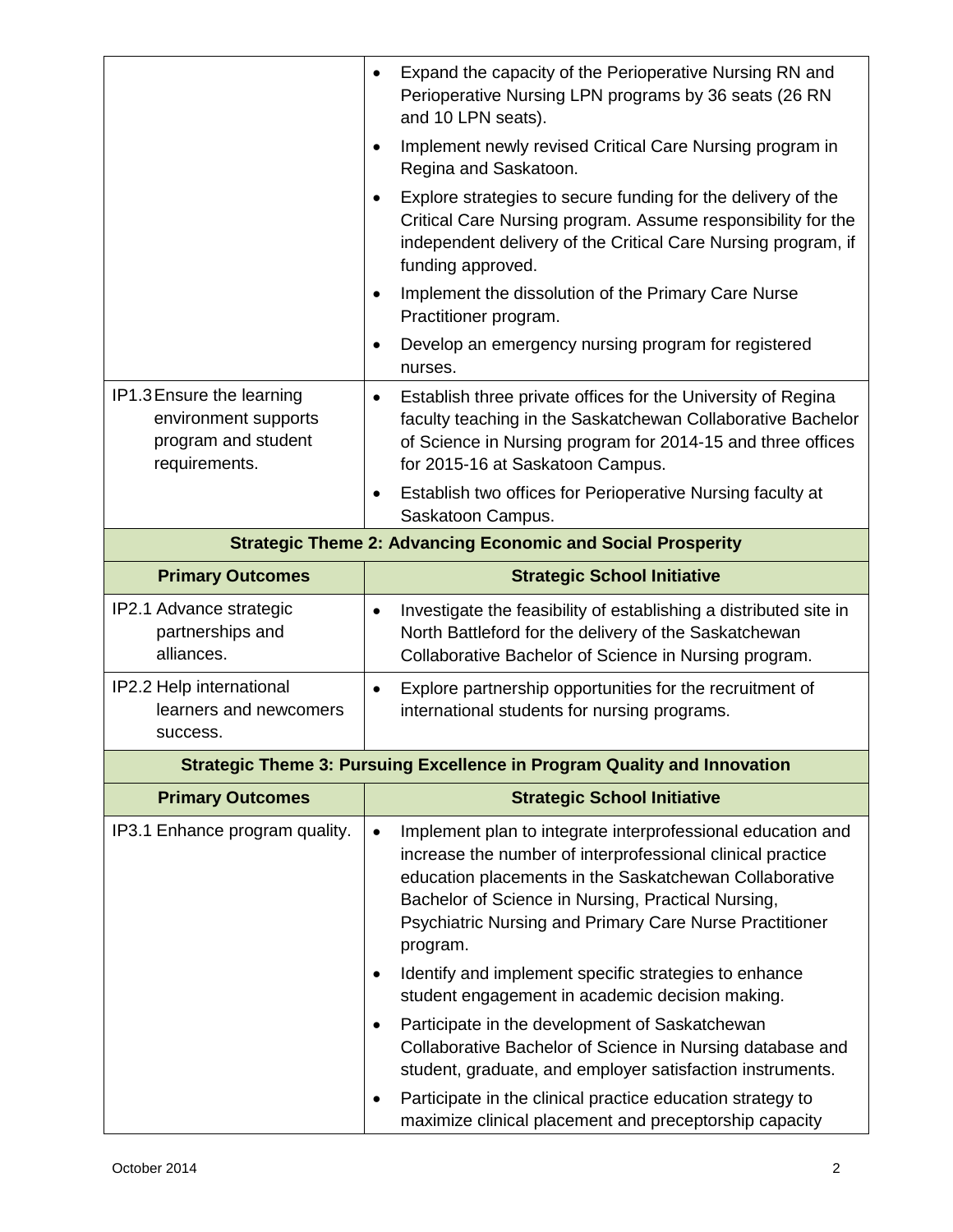|                                                                                           | Expand the capacity of the Perioperative Nursing RN and<br>$\bullet$<br>Perioperative Nursing LPN programs by 36 seats (26 RN<br>and 10 LPN seats).                                                                                                                                                                           |
|-------------------------------------------------------------------------------------------|-------------------------------------------------------------------------------------------------------------------------------------------------------------------------------------------------------------------------------------------------------------------------------------------------------------------------------|
|                                                                                           | Implement newly revised Critical Care Nursing program in<br>Regina and Saskatoon.                                                                                                                                                                                                                                             |
|                                                                                           | Explore strategies to secure funding for the delivery of the<br>$\bullet$<br>Critical Care Nursing program. Assume responsibility for the<br>independent delivery of the Critical Care Nursing program, if<br>funding approved.                                                                                               |
|                                                                                           | Implement the dissolution of the Primary Care Nurse<br>$\bullet$<br>Practitioner program.                                                                                                                                                                                                                                     |
|                                                                                           | Develop an emergency nursing program for registered<br>$\bullet$<br>nurses.                                                                                                                                                                                                                                                   |
| IP1.3 Ensure the learning<br>environment supports<br>program and student<br>requirements. | Establish three private offices for the University of Regina<br>$\bullet$<br>faculty teaching in the Saskatchewan Collaborative Bachelor<br>of Science in Nursing program for 2014-15 and three offices<br>for 2015-16 at Saskatoon Campus.                                                                                   |
|                                                                                           | Establish two offices for Perioperative Nursing faculty at<br>$\bullet$<br>Saskatoon Campus.                                                                                                                                                                                                                                  |
|                                                                                           | <b>Strategic Theme 2: Advancing Economic and Social Prosperity</b>                                                                                                                                                                                                                                                            |
| <b>Primary Outcomes</b>                                                                   | <b>Strategic School Initiative</b>                                                                                                                                                                                                                                                                                            |
| IP2.1 Advance strategic<br>partnerships and<br>alliances.                                 | Investigate the feasibility of establishing a distributed site in<br>$\bullet$<br>North Battleford for the delivery of the Saskatchewan<br>Collaborative Bachelor of Science in Nursing program.                                                                                                                              |
| IP2.2 Help international<br>learners and newcomers<br>success.                            | Explore partnership opportunities for the recruitment of<br>$\bullet$<br>international students for nursing programs.                                                                                                                                                                                                         |
|                                                                                           | <b>Strategic Theme 3: Pursuing Excellence in Program Quality and Innovation</b>                                                                                                                                                                                                                                               |
| <b>Primary Outcomes</b>                                                                   | <b>Strategic School Initiative</b>                                                                                                                                                                                                                                                                                            |
| IP3.1 Enhance program quality.                                                            | Implement plan to integrate interprofessional education and<br>$\bullet$<br>increase the number of interprofessional clinical practice<br>education placements in the Saskatchewan Collaborative<br>Bachelor of Science in Nursing, Practical Nursing,<br>Psychiatric Nursing and Primary Care Nurse Practitioner<br>program. |
|                                                                                           | Identify and implement specific strategies to enhance<br>$\bullet$<br>student engagement in academic decision making.                                                                                                                                                                                                         |
|                                                                                           | Participate in the development of Saskatchewan<br>$\bullet$<br>Collaborative Bachelor of Science in Nursing database and<br>student, graduate, and employer satisfaction instruments.                                                                                                                                         |
|                                                                                           | Participate in the clinical practice education strategy to<br>٠                                                                                                                                                                                                                                                               |